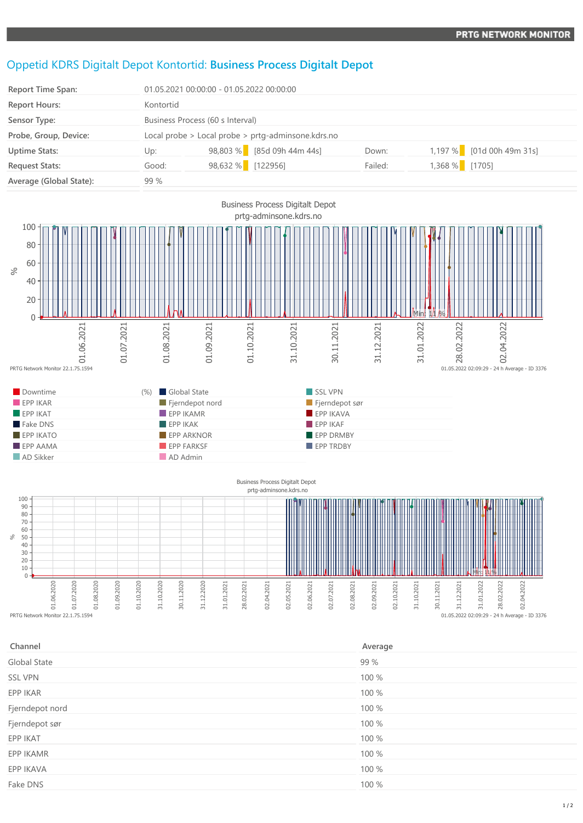## Oppetid KDRS Digitalt Depot Kontortid: **Business Process Digitalt Depot**

| <b>Report Time Span:</b> |           | 01.05.2021 00:00:00 - 01.05.2022 00:00:00          |         |                           |  |
|--------------------------|-----------|----------------------------------------------------|---------|---------------------------|--|
| <b>Report Hours:</b>     | Kontortid |                                                    |         |                           |  |
| Sensor Type:             |           | Business Process (60 s Interval)                   |         |                           |  |
| Probe, Group, Device:    |           | Local probe > Local probe > prtg-adminsone.kdrs.no |         |                           |  |
| <b>Uptime Stats:</b>     | Up:       | 98,803 % [85d 09h 44m 44s]                         | Down:   | 1,197 % [01d 00h 49m 31s] |  |
| <b>Request Stats:</b>    | Good:     | 98,632 % [122956]                                  | Failed: | 1,368 % [1705]            |  |
| Average (Global State):  | 99 %      |                                                    |         |                           |  |



01.06.2020 01.07.2020 01.08.2020 01.09.2020 01.10.2020 31.10.2020 30.11.2020

31.12.2020

31.01.2021 28.02.2021

02.04.2021

02.05.2021

02.06.2021

02.07.2021

02.08.2021

02.09.2021

02.10.2021

31.10.2021

30.11.2021

31.12.2021

31.01.2022

28.02.2022

01.05.2022 02:09:29 - 24 h Average - ID 3376

02.04.2022

| Channel         | Average |
|-----------------|---------|
| Global State    | 99 %    |
| <b>SSL VPN</b>  | 100 %   |
| EPP IKAR        | 100 %   |
| Fjerndepot nord | 100 %   |
| Fjerndepot sør  | 100 %   |
| EPP IKAT        | 100 %   |
| EPP IKAMR       | 100 %   |
| EPP IKAVA       | 100 %   |
| Fake DNS        | 100 %   |
|                 |         |